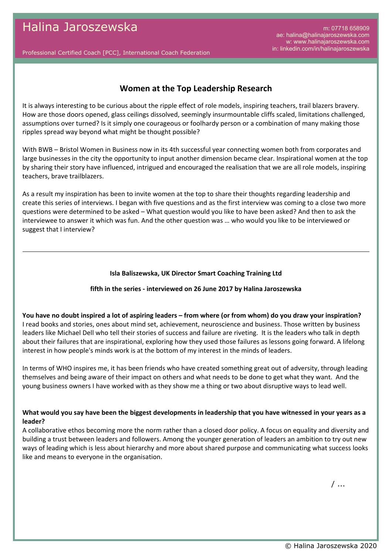m: 07718 658909 ae: halina@halinajaroszewska.com w: www.halinajaroszewska.com in: linkedin.com/in/halinajaroszewska

Professional Certified Coach [PCC], International Coach Federation

# **Women at the Top Leadership Research**

It is always interesting to be curious about the ripple effect of role models, inspiring teachers, trail blazers bravery. How are those doors opened, glass ceilings dissolved, seemingly insurmountable cliffs scaled, limitations challenged, assumptions over turned? Is it simply one courageous or foolhardy person or a combination of many making those ripples spread way beyond what might be thought possible?

With BWB – Bristol Women in Business now in its 4th successful year connecting women both from corporates and large businesses in the city the opportunity to input another dimension became clear. Inspirational women at the top by sharing their story have influenced, intrigued and encouraged the realisation that we are all role models, inspiring teachers, brave trailblazers.

As a result my inspiration has been to invite women at the top to share their thoughts regarding leadership and create this series of interviews. I began with five questions and as the first interview was coming to a close two more questions were determined to be asked – What question would you like to have been asked? And then to ask the interviewee to answer it which was fun. And the other question was … who would you like to be interviewed or suggest that I interview?

#### **Isla Baliszewska, UK Director Smart Coaching Training Ltd**

### **fifth in the series - interviewed on 26 June 2017 by Halina Jaroszewska**

**You have no doubt inspired a lot of aspiring leaders – from where (or from whom) do you draw your inspiration?** I read books and stories, ones about mind set, achievement, neuroscience and business. Those written by business leaders like Michael Dell who tell their stories of success and failure are riveting. It is the leaders who talk in depth about their failures that are inspirational, exploring how they used those failures as lessons going forward. A lifelong interest in how people's minds work is at the bottom of my interest in the minds of leaders.

In terms of WHO inspires me, it has been friends who have created something great out of adversity, through leading themselves and being aware of their impact on others and what needs to be done to get what they want. And the young business owners I have worked with as they show me a thing or two about disruptive ways to lead well.

## **What would you say have been the biggest developments in leadership that you have witnessed in your years as a leader?**

A collaborative ethos becoming more the norm rather than a closed door policy. A focus on equality and diversity and building a trust between leaders and followers. Among the younger generation of leaders an ambition to try out new ways of leading which is less about hierarchy and more about shared purpose and communicating what success looks like and means to everyone in the organisation.

/ ...